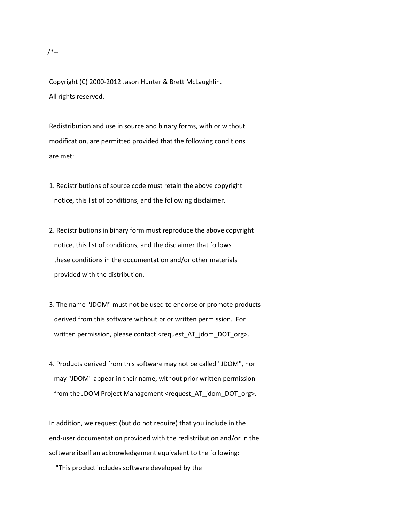## /\*--

Copyright (C) 2000-2012 Jason Hunter & Brett McLaughlin. All rights reserved.

Redistribution and use in source and binary forms, with or without modification, are permitted provided that the following conditions are met:

- 1. Redistributions of source code must retain the above copyright notice, this list of conditions, and the following disclaimer.
- 2. Redistributions in binary form must reproduce the above copyright notice, this list of conditions, and the disclaimer that follows these conditions in the documentation and/or other materials provided with the distribution.
- 3. The name "JDOM" must not be used to endorse or promote products derived from this software without prior written permission. For written permission, please contact <request\_AT\_jdom\_DOT\_org>.
- 4. Products derived from this software may not be called "JDOM", nor may "JDOM" appear in their name, without prior written permission from the JDOM Project Management <request\_AT\_jdom\_DOT\_org>.

In addition, we request (but do not require) that you include in the end-user documentation provided with the redistribution and/or in the software itself an acknowledgement equivalent to the following:

"This product includes software developed by the